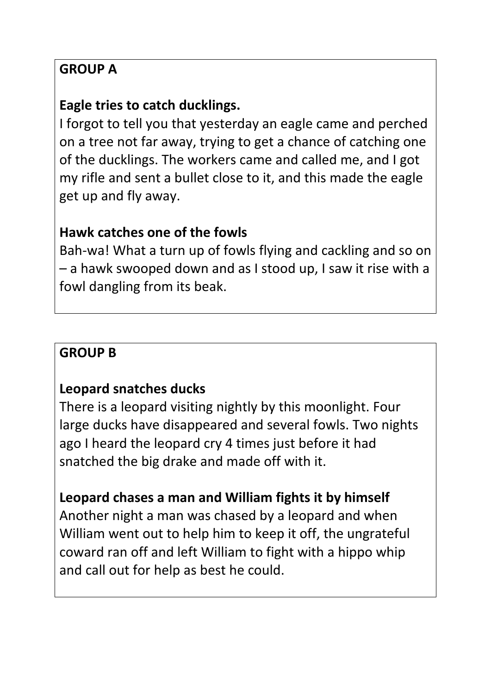### **GROUP A**

### **Eagle tries to catch ducklings.**

I forgot to tell you that yesterday an eagle came and perched on a tree not far away, trying to get a chance of catching one of the ducklings. The workers came and called me, and I got my rifle and sent a bullet close to it, and this made the eagle get up and fly away.

#### **Hawk catches one of the fowls**

Bah-wa! What a turn up of fowls flying and cackling and so on – a hawk swooped down and as I stood up, I saw it rise with a fowl dangling from its beak.

### **GROUP B**

#### **Leopard snatches ducks**

There is a leopard visiting nightly by this moonlight. Four large ducks have disappeared and several fowls. Two nights ago I heard the leopard cry 4 times just before it had snatched the big drake and made off with it.

### **Leopard chases a man and William fights it by himself**

Another night a man was chased by a leopard and when William went out to help him to keep it off, the ungrateful coward ran off and left William to fight with a hippo whip and call out for help as best he could.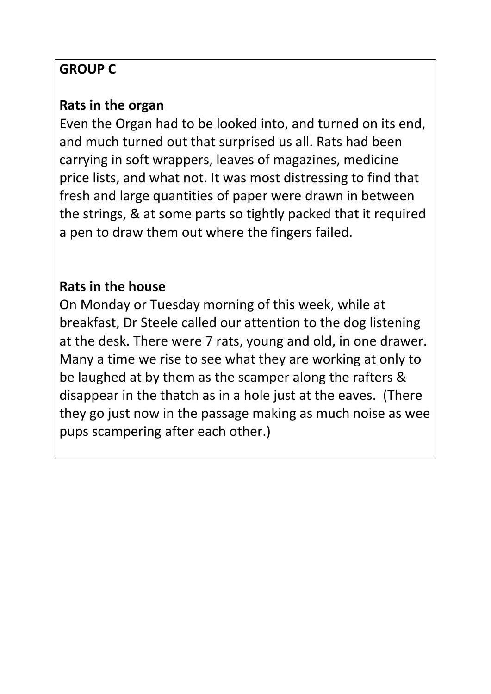# **GROUP C**

### **Rats in the organ**

Even the Organ had to be looked into, and turned on its end, and much turned out that surprised us all. Rats had been carrying in soft wrappers, leaves of magazines, medicine price lists, and what not. It was most distressing to find that fresh and large quantities of paper were drawn in between the strings, & at some parts so tightly packed that it required a pen to draw them out where the fingers failed.

# **Rats in the house**

On Monday or Tuesday morning of this week, while at breakfast, Dr Steele called our attention to the dog listening at the desk. There were 7 rats, young and old, in one drawer. Many a time we rise to see what they are working at only to be laughed at by them as the scamper along the rafters & disappear in the thatch as in a hole just at the eaves. (There they go just now in the passage making as much noise as wee pups scampering after each other.)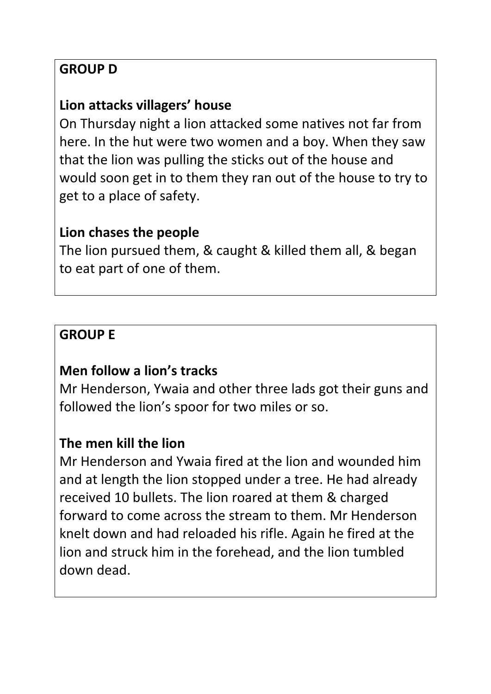### **GROUP D**

### **Lion attacks villagers' house**

On Thursday night a lion attacked some natives not far from here. In the hut were two women and a boy. When they saw that the lion was pulling the sticks out of the house and would soon get in to them they ran out of the house to try to get to a place of safety.

#### **Lion chases the people**

The lion pursued them, & caught & killed them all, & began to eat part of one of them.

#### **GROUP E**

### **Men follow a lion's tracks**

Mr Henderson, Ywaia and other three lads got their guns and followed the lion's spoor for two miles or so.

#### **The men kill the lion**

Mr Henderson and Ywaia fired at the lion and wounded him and at length the lion stopped under a tree. He had already received 10 bullets. The lion roared at them & charged forward to come across the stream to them. Mr Henderson knelt down and had reloaded his rifle. Again he fired at the lion and struck him in the forehead, and the lion tumbled down dead.